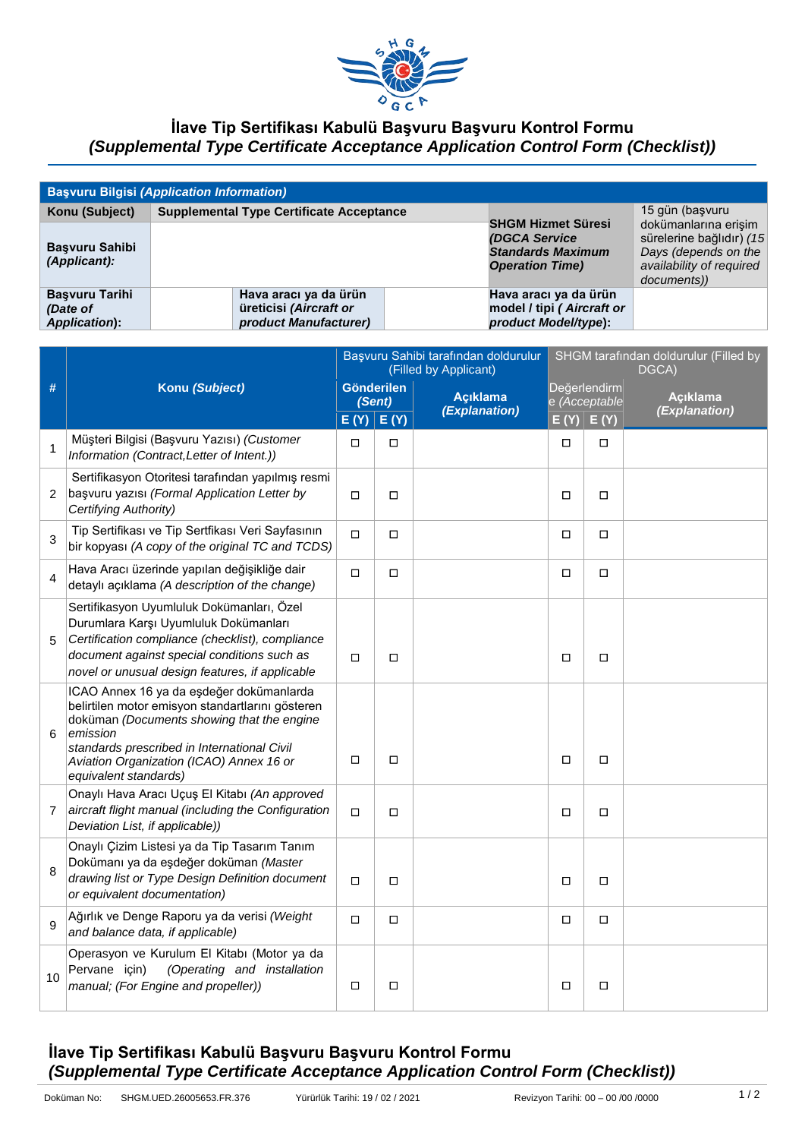

## **İlave Tip Sertifikası Kabulü Başvuru Başvuru Kontrol Formu**  *(Supplemental Type Certificate Acceptance Application Control Form (Checklist))*

| <b>Başvuru Bilgisi (Application Information)</b>           |                                                                          |                                                                                                  |                                                                                                                                        |  |  |  |  |  |
|------------------------------------------------------------|--------------------------------------------------------------------------|--------------------------------------------------------------------------------------------------|----------------------------------------------------------------------------------------------------------------------------------------|--|--|--|--|--|
| Konu (Subject)<br><b>Basvuru Sahibi</b><br>$(A$ pplicant): | <b>Supplemental Type Certificate Acceptance</b>                          | <b>SHGM Hizmet Süresi</b><br>(DGCA Service<br><b>Standards Maximum</b><br><b>Operation Time)</b> | 15 gün (başvuru<br>dokümanlarına erişim<br>sürelerine bağlıdır) (15<br>Days (depends on the<br>availability of required<br>documents)) |  |  |  |  |  |
| <b>Basvuru Tarihi</b><br>(Date of<br>Application):         | Hava aracı ya da ürün<br>üreticisi (Aircraft or<br>product Manufacturer) | Hava aracı ya da ürün<br>model / tipi (Aircraft or<br>product Model/type):                       |                                                                                                                                        |  |  |  |  |  |

|                |                                                                                                                                                                                                                                                                            | Başvuru Sahibi tarafından doldurulur<br>(Filled by Applicant) |        |                                         | SHGM tarafından doldurulur (Filled by<br>DGCA) |               |                                  |
|----------------|----------------------------------------------------------------------------------------------------------------------------------------------------------------------------------------------------------------------------------------------------------------------------|---------------------------------------------------------------|--------|-----------------------------------------|------------------------------------------------|---------------|----------------------------------|
| #              | Konu (Subject)                                                                                                                                                                                                                                                             | <b>Gönderilen</b><br>(Sent)                                   |        | <b>Aciklama</b><br><i>(Explanation)</i> | Değerlendirm<br>e (Acceptable                  |               | <b>Acıklama</b><br>(Explanation) |
|                |                                                                                                                                                                                                                                                                            | E(Y)                                                          | E(Y)   |                                         |                                                | $E(Y)$ $E(Y)$ |                                  |
| 1              | Müşteri Bilgisi (Başvuru Yazısı) (Customer<br>Information (Contract, Letter of Intent.))                                                                                                                                                                                   | $\Box$                                                        | П      |                                         | $\Box$                                         | $\Box$        |                                  |
| 2              | Sertifikasyon Otoritesi tarafından yapılmış resmi<br>başvuru yazısı (Formal Application Letter by<br>Certifying Authority)                                                                                                                                                 | $\Box$                                                        | $\Box$ |                                         | $\Box$                                         | $\Box$        |                                  |
| 3              | Tip Sertifikası ve Tip Sertfikası Veri Sayfasının<br>bir kopyası (A copy of the original TC and TCDS)                                                                                                                                                                      | $\Box$                                                        | $\Box$ |                                         | $\Box$                                         | $\Box$        |                                  |
| 4              | Hava Aracı üzerinde yapılan değişikliğe dair<br>detaylı açıklama (A description of the change)                                                                                                                                                                             | $\Box$                                                        | $\Box$ |                                         | □                                              | $\Box$        |                                  |
| 5              | Sertifikasyon Uyumluluk Dokümanları, Özel<br>Durumlara Karşı Uyumluluk Dokümanları<br>Certification compliance (checklist), compliance<br>document against special conditions such as<br>novel or unusual design features, if applicable                                   | □                                                             | □      |                                         | □                                              | □             |                                  |
| 6              | ICAO Annex 16 ya da eşdeğer dokümanlarda<br>belirtilen motor emisyon standartlarını gösteren<br>doküman (Documents showing that the engine<br>emission<br>standards prescribed in International Civil<br>Aviation Organization (ICAO) Annex 16 or<br>equivalent standards) | $\Box$                                                        | $\Box$ |                                         | П                                              | О             |                                  |
| $\overline{7}$ | Onaylı Hava Aracı Uçuş El Kitabı (An approved<br>aircraft flight manual (including the Configuration<br>Deviation List, if applicable))                                                                                                                                    | $\Box$                                                        | $\Box$ |                                         | $\Box$                                         | $\Box$        |                                  |
| 8              | Onaylı Çizim Listesi ya da Tip Tasarım Tanım<br>Dokümanı ya da eşdeğer doküman (Master<br>drawing list or Type Design Definition document<br>or equivalent documentation)                                                                                                  | □                                                             | П      |                                         | □                                              | □             |                                  |
| 9              | Ağırlık ve Denge Raporu ya da verisi (Weight<br>and balance data, if applicable)                                                                                                                                                                                           | $\Box$                                                        | $\Box$ |                                         | $\Box$                                         | $\Box$        |                                  |
| 10             | Operasyon ve Kurulum El Kitabı (Motor ya da<br>(Operating and installation<br>Pervane için)<br>manual; (For Engine and propeller))                                                                                                                                         | $\Box$                                                        | $\Box$ |                                         | $\Box$                                         | $\Box$        |                                  |

## **İlave Tip Sertifikası Kabulü Başvuru Başvuru Kontrol Formu**  *(Supplemental Type Certificate Acceptance Application Control Form (Checklist))*